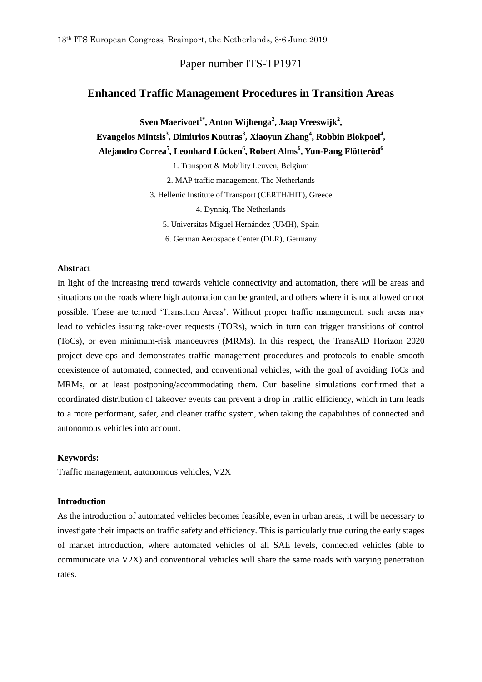# Paper number ITS-TP1971

# **Enhanced Traffic Management Procedures in Transition Areas**

**Sven Maerivoet1\* , Anton Wijbenga<sup>2</sup> , Jaap Vreeswijk<sup>2</sup> , Evangelos Mintsis<sup>3</sup> , Dimitrios Koutras<sup>3</sup> , Xiaoyun Zhang<sup>4</sup> , Robbin Blokpoel<sup>4</sup> , Alejandro Correa<sup>5</sup> , Leonhard Lücken<sup>6</sup> , Robert Alms 6 , Yun-Pang Flötteröd<sup>6</sup>**

1. Transport & Mobility Leuven, Belgium

2. MAP traffic management, The Netherlands

3. Hellenic Institute of Transport (CERTH/HIT), Greece

4. Dynniq, The Netherlands

5. Universitas Miguel Hernández (UMH), Spain

6. German Aerospace Center (DLR), Germany

#### **Abstract**

In light of the increasing trend towards vehicle connectivity and automation, there will be areas and situations on the roads where high automation can be granted, and others where it is not allowed or not possible. These are termed 'Transition Areas'. Without proper traffic management, such areas may lead to vehicles issuing take-over requests (TORs), which in turn can trigger transitions of control (ToCs), or even minimum-risk manoeuvres (MRMs). In this respect, the TransAID Horizon 2020 project develops and demonstrates traffic management procedures and protocols to enable smooth coexistence of automated, connected, and conventional vehicles, with the goal of avoiding ToCs and MRMs, or at least postponing/accommodating them. Our baseline simulations confirmed that a coordinated distribution of takeover events can prevent a drop in traffic efficiency, which in turn leads to a more performant, safer, and cleaner traffic system, when taking the capabilities of connected and autonomous vehicles into account.

#### **Keywords:**

Traffic management, autonomous vehicles, V2X

### **Introduction**

As the introduction of automated vehicles becomes feasible, even in urban areas, it will be necessary to investigate their impacts on traffic safety and efficiency. This is particularly true during the early stages of market introduction, where automated vehicles of all SAE levels, connected vehicles (able to communicate via V2X) and conventional vehicles will share the same roads with varying penetration rates.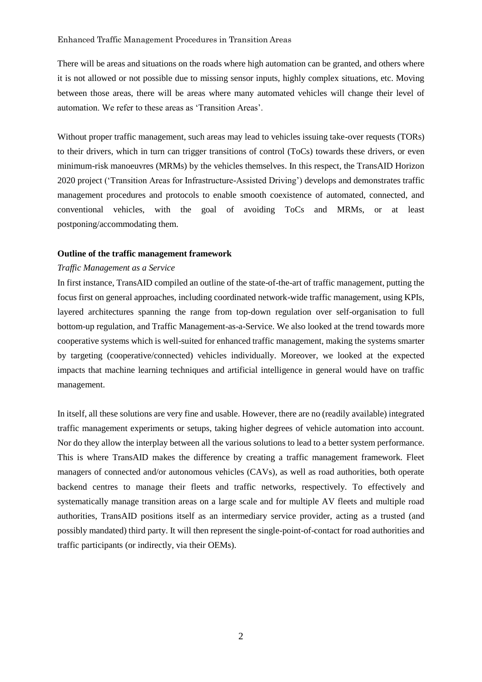There will be areas and situations on the roads where high automation can be granted, and others where it is not allowed or not possible due to missing sensor inputs, highly complex situations, etc. Moving between those areas, there will be areas where many automated vehicles will change their level of automation. We refer to these areas as 'Transition Areas'.

Without proper traffic management, such areas may lead to vehicles issuing take-over requests (TORs) to their drivers, which in turn can trigger transitions of control (ToCs) towards these drivers, or even minimum-risk manoeuvres (MRMs) by the vehicles themselves. In this respect, the TransAID Horizon 2020 project ('Transition Areas for Infrastructure-Assisted Driving') develops and demonstrates traffic management procedures and protocols to enable smooth coexistence of automated, connected, and conventional vehicles, with the goal of avoiding ToCs and MRMs, or at least postponing/accommodating them.

## **Outline of the traffic management framework**

#### *Traffic Management as a Service*

In first instance, TransAID compiled an outline of the state-of-the-art of traffic management, putting the focus first on general approaches, including coordinated network-wide traffic management, using KPIs, layered architectures spanning the range from top-down regulation over self-organisation to full bottom-up regulation, and Traffic Management-as-a-Service. We also looked at the trend towards more cooperative systems which is well-suited for enhanced traffic management, making the systems smarter by targeting (cooperative/connected) vehicles individually. Moreover, we looked at the expected impacts that machine learning techniques and artificial intelligence in general would have on traffic management.

In itself, all these solutions are very fine and usable. However, there are no (readily available) integrated traffic management experiments or setups, taking higher degrees of vehicle automation into account. Nor do they allow the interplay between all the various solutions to lead to a better system performance. This is where TransAID makes the difference by creating a traffic management framework. Fleet managers of connected and/or autonomous vehicles (CAVs), as well as road authorities, both operate backend centres to manage their fleets and traffic networks, respectively. To effectively and systematically manage transition areas on a large scale and for multiple AV fleets and multiple road authorities, TransAID positions itself as an intermediary service provider, acting as a trusted (and possibly mandated) third party. It will then represent the single-point-of-contact for road authorities and traffic participants (or indirectly, via their OEMs).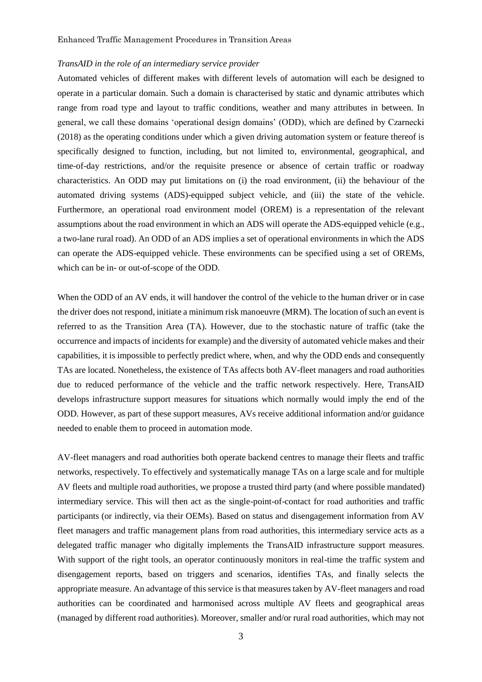#### *TransAID in the role of an intermediary service provider*

Automated vehicles of different makes with different levels of automation will each be designed to operate in a particular domain. Such a domain is characterised by static and dynamic attributes which range from road type and layout to traffic conditions, weather and many attributes in between. In general, we call these domains 'operational design domains' (ODD), which are defined by Czarnecki (2018) as the operating conditions under which a given driving automation system or feature thereof is specifically designed to function, including, but not limited to, environmental, geographical, and time-of-day restrictions, and/or the requisite presence or absence of certain traffic or roadway characteristics. An ODD may put limitations on (i) the road environment, (ii) the behaviour of the automated driving systems (ADS)-equipped subject vehicle, and (iii) the state of the vehicle. Furthermore, an operational road environment model (OREM) is a representation of the relevant assumptions about the road environment in which an ADS will operate the ADS-equipped vehicle (e.g., a two-lane rural road). An ODD of an ADS implies a set of operational environments in which the ADS can operate the ADS-equipped vehicle. These environments can be specified using a set of OREMs, which can be in- or out-of-scope of the ODD.

When the ODD of an AV ends, it will handover the control of the vehicle to the human driver or in case the driver does not respond, initiate a minimum risk manoeuvre (MRM). The location of such an event is referred to as the Transition Area (TA). However, due to the stochastic nature of traffic (take the occurrence and impacts of incidents for example) and the diversity of automated vehicle makes and their capabilities, it is impossible to perfectly predict where, when, and why the ODD ends and consequently TAs are located. Nonetheless, the existence of TAs affects both AV-fleet managers and road authorities due to reduced performance of the vehicle and the traffic network respectively. Here, TransAID develops infrastructure support measures for situations which normally would imply the end of the ODD. However, as part of these support measures, AVs receive additional information and/or guidance needed to enable them to proceed in automation mode.

AV-fleet managers and road authorities both operate backend centres to manage their fleets and traffic networks, respectively. To effectively and systematically manage TAs on a large scale and for multiple AV fleets and multiple road authorities, we propose a trusted third party (and where possible mandated) intermediary service. This will then act as the single-point-of-contact for road authorities and traffic participants (or indirectly, via their OEMs). Based on status and disengagement information from AV fleet managers and traffic management plans from road authorities, this intermediary service acts as a delegated traffic manager who digitally implements the TransAID infrastructure support measures. With support of the right tools, an operator continuously monitors in real-time the traffic system and disengagement reports, based on triggers and scenarios, identifies TAs, and finally selects the appropriate measure. An advantage of this service is that measures taken by AV-fleet managers and road authorities can be coordinated and harmonised across multiple AV fleets and geographical areas (managed by different road authorities). Moreover, smaller and/or rural road authorities, which may not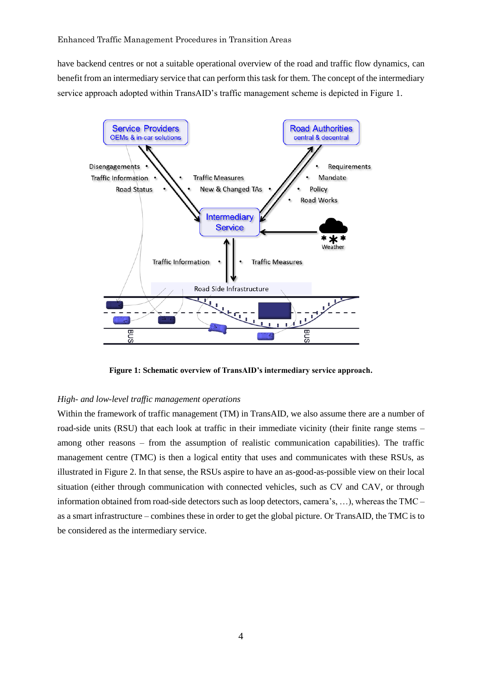have backend centres or not a suitable operational overview of the road and traffic flow dynamics, can benefit from an intermediary service that can perform this task for them. The concept of the intermediary service approach adopted within TransAID's traffic management scheme is depicted in Figure 1.



**Figure 1: Schematic overview of TransAID's intermediary service approach.**

## *High- and low-level traffic management operations*

Within the framework of traffic management (TM) in TransAID, we also assume there are a number of road-side units (RSU) that each look at traffic in their immediate vicinity (their finite range stems – among other reasons – from the assumption of realistic communication capabilities). The traffic management centre (TMC) is then a logical entity that uses and communicates with these RSUs, as illustrated in Figure 2. In that sense, the RSUs aspire to have an as-good-as-possible view on their local situation (either through communication with connected vehicles, such as CV and CAV, or through information obtained from road-side detectors such as loop detectors, camera's, …), whereas the TMC – as a smart infrastructure – combines these in order to get the global picture. Or TransAID, the TMC is to be considered as the intermediary service.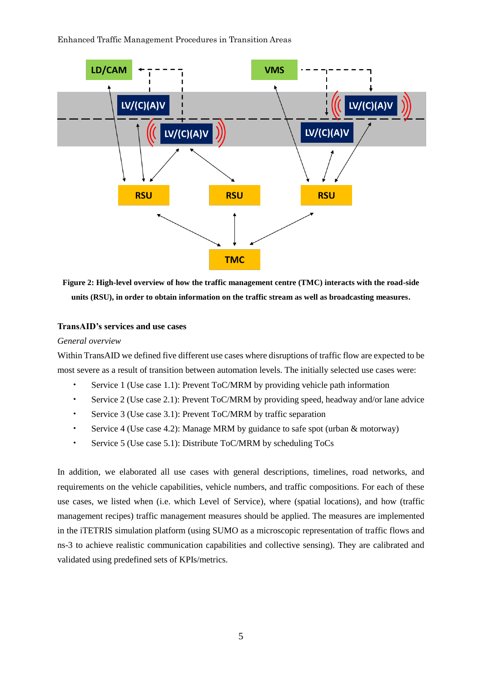

**Figure 2: High-level overview of how the traffic management centre (TMC) interacts with the road-side units (RSU), in order to obtain information on the traffic stream as well as broadcasting measures.**

### **TransAID's services and use cases**

*General overview*

Within TransAID we defined five different use cases where disruptions of traffic flow are expected to be most severe as a result of transition between automation levels. The initially selected use cases were:

- Service 1 (Use case 1.1): Prevent ToC/MRM by providing vehicle path information
- Service 2 (Use case 2.1): Prevent ToC/MRM by providing speed, headway and/or lane advice
- Service 3 (Use case 3.1): Prevent ToC/MRM by traffic separation
- Service 4 (Use case 4.2): Manage MRM by guidance to safe spot (urban & motorway)
- Service 5 (Use case 5.1): Distribute ToC/MRM by scheduling ToCs

In addition, we elaborated all use cases with general descriptions, timelines, road networks, and requirements on the vehicle capabilities, vehicle numbers, and traffic compositions. For each of these use cases, we listed when (i.e. which Level of Service), where (spatial locations), and how (traffic management recipes) traffic management measures should be applied. The measures are implemented in the iTETRIS simulation platform (using SUMO as a microscopic representation of traffic flows and ns-3 to achieve realistic communication capabilities and collective sensing). They are calibrated and validated using predefined sets of KPIs/metrics.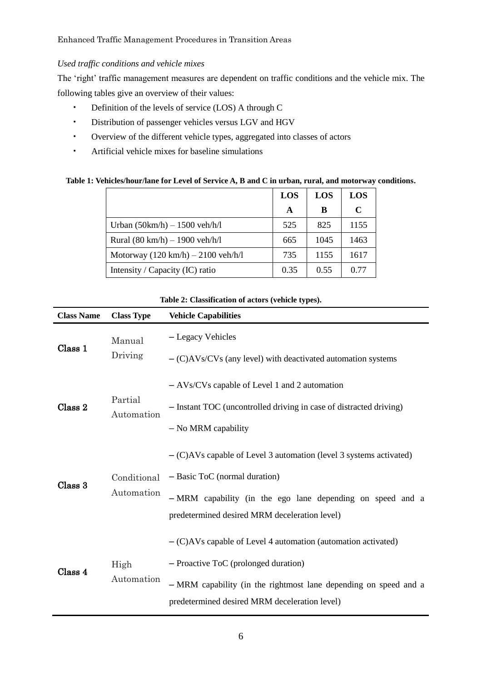# *Used traffic conditions and vehicle mixes*

The 'right' traffic management measures are dependent on traffic conditions and the vehicle mix. The following tables give an overview of their values:

- Definition of the levels of service (LOS) A through C
- Distribution of passenger vehicles versus LGV and HGV
- Overview of the different vehicle types, aggregated into classes of actors
- Artificial vehicle mixes for baseline simulations

# **Table 1: Vehicles/hour/lane for Level of Service A, B and C in urban, rural, and motorway conditions.**

|                                                      | <b>LOS</b> | LOS  | <b>LOS</b>  |
|------------------------------------------------------|------------|------|-------------|
|                                                      | A          | В    | $\mathbf C$ |
| Urban $(50 \text{km/h}) - 1500 \text{ veh/h/l}$      | 525        | 825  | 1155        |
| Rural $(80 \text{ km/h}) - 1900 \text{ veh/h/l}$     | 665        | 1045 | 1463        |
| Motorway $(120 \text{ km/h}) - 2100 \text{ veh/h/l}$ | 735        | 1155 | 1617        |
| Intensity / Capacity (IC) ratio                      | 0.35       | 0.55 | 0.77        |

| <b>Class Name</b> | <b>Class Type</b>         | <b>Vehicle Capabilities</b>                                                                                                                                                                                                  |  |  |  |
|-------------------|---------------------------|------------------------------------------------------------------------------------------------------------------------------------------------------------------------------------------------------------------------------|--|--|--|
| Class 1           | Manual<br>Driving         | - Legacy Vehicles<br>$-$ (C)AVs/CVs (any level) with deactivated automation systems                                                                                                                                          |  |  |  |
| Class 2           | Partial<br>Automation     | $-$ AVs/CVs capable of Level 1 and 2 automation<br>- Instant TOC (uncontrolled driving in case of distracted driving)<br>- No MRM capability                                                                                 |  |  |  |
| Class 3           | Conditional<br>Automation | $-(C)AVs$ capable of Level 3 automation (level 3 systems activated)<br>- Basic ToC (normal duration)<br>- MRM capability (in the ego lane depending on speed and a<br>predetermined desired MRM deceleration level)          |  |  |  |
| Class 4           | High<br>Automation        | $-(C)$ AVs capable of Level 4 automation (automation activated)<br>- Proactive ToC (prolonged duration)<br>- MRM capability (in the rightmost lane depending on speed and a<br>predetermined desired MRM deceleration level) |  |  |  |

## **Table 2: Classification of actors (vehicle types).**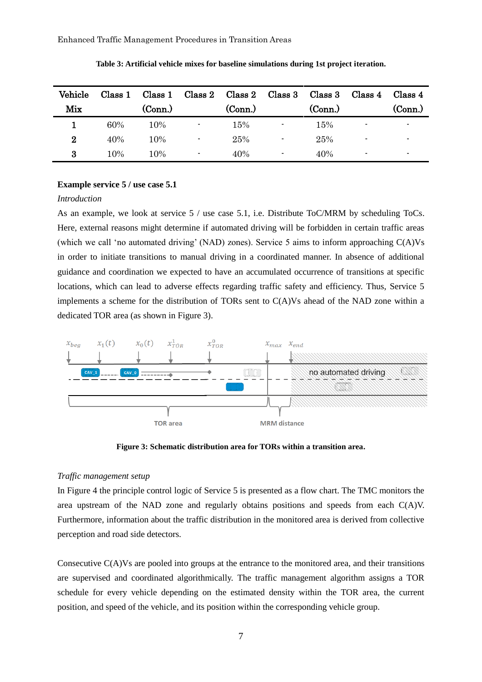| Vehicle  | Class 1 |         |    |         |    | Class 1 Class 2 Class 2 Class 3 Class 3 | Class 4        | Class 4 |
|----------|---------|---------|----|---------|----|-----------------------------------------|----------------|---------|
| Mix      |         | (Conn.) |    | (Conn.) |    | (Conn.)                                 |                | (Conn.) |
|          | 60%     | 10%     | ۰. | 15%     | ۰. | 15%                                     |                |         |
| $\bf{2}$ | 40%     | 10%     | ٠  | 25%     |    | 25%                                     | $\blacksquare$ |         |
| 3        | 10%     | 10%     |    | 40%     | ۰. | 40%                                     | ٠              |         |

**Table 3: Artificial vehicle mixes for baseline simulations during 1st project iteration.**

# **Example service 5 / use case 5.1**

# *Introduction*

As an example, we look at service 5 / use case 5.1, i.e. Distribute ToC/MRM by scheduling ToCs. Here, external reasons might determine if automated driving will be forbidden in certain traffic areas (which we call 'no automated driving' (NAD) zones). Service 5 aims to inform approaching C(A)Vs in order to initiate transitions to manual driving in a coordinated manner. In absence of additional guidance and coordination we expected to have an accumulated occurrence of transitions at specific locations, which can lead to adverse effects regarding traffic safety and efficiency. Thus, Service 5 implements a scheme for the distribution of TORs sent to C(A)Vs ahead of the NAD zone within a dedicated TOR area (as shown in Figure 3).



**Figure 3: Schematic distribution area for TORs within a transition area.**

### *Traffic management setup*

In Figure 4 the principle control logic of Service 5 is presented as a flow chart. The TMC monitors the area upstream of the NAD zone and regularly obtains positions and speeds from each  $C(A)V$ . Furthermore, information about the traffic distribution in the monitored area is derived from collective perception and road side detectors.

Consecutive C(A)Vs are pooled into groups at the entrance to the monitored area, and their transitions are supervised and coordinated algorithmically. The traffic management algorithm assigns a TOR schedule for every vehicle depending on the estimated density within the TOR area, the current position, and speed of the vehicle, and its position within the corresponding vehicle group.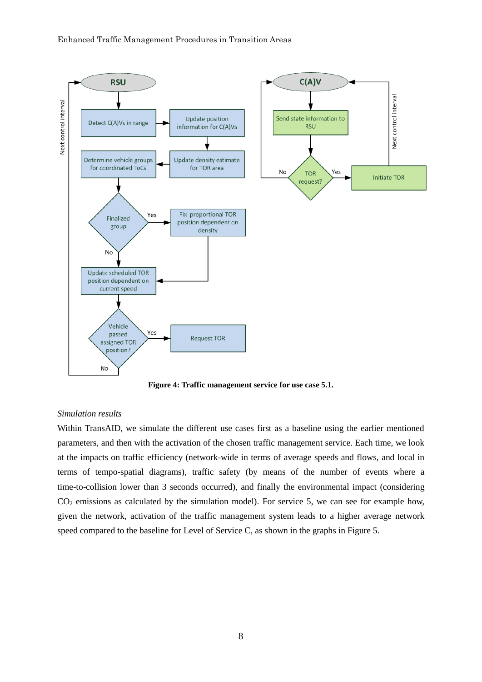

**Figure 4: Traffic management service for use case 5.1.**

## *Simulation results*

Within TransAID, we simulate the different use cases first as a baseline using the earlier mentioned parameters, and then with the activation of the chosen traffic management service. Each time, we look at the impacts on traffic efficiency (network-wide in terms of average speeds and flows, and local in terms of tempo-spatial diagrams), traffic safety (by means of the number of events where a time-to-collision lower than 3 seconds occurred), and finally the environmental impact (considering  $CO<sub>2</sub>$  emissions as calculated by the simulation model). For service 5, we can see for example how, given the network, activation of the traffic management system leads to a higher average network speed compared to the baseline for Level of Service C, as shown in the graphs in Figure 5.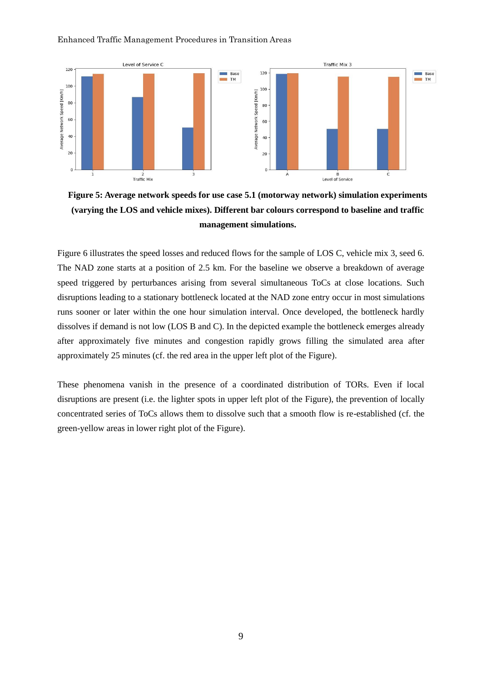

**Figure 5: Average network speeds for use case 5.1 (motorway network) simulation experiments (varying the LOS and vehicle mixes). Different bar colours correspond to baseline and traffic management simulations.**

Figure 6 illustrates the speed losses and reduced flows for the sample of LOS C, vehicle mix 3, seed 6. The NAD zone starts at a position of 2.5 km. For the baseline we observe a breakdown of average speed triggered by perturbances arising from several simultaneous ToCs at close locations. Such disruptions leading to a stationary bottleneck located at the NAD zone entry occur in most simulations runs sooner or later within the one hour simulation interval. Once developed, the bottleneck hardly dissolves if demand is not low (LOS B and C). In the depicted example the bottleneck emerges already after approximately five minutes and congestion rapidly grows filling the simulated area after approximately 25 minutes (cf. the red area in the upper left plot of the Figure).

These phenomena vanish in the presence of a coordinated distribution of TORs. Even if local disruptions are present (i.e. the lighter spots in upper left plot of the Figure), the prevention of locally concentrated series of ToCs allows them to dissolve such that a smooth flow is re-established (cf. the green-yellow areas in lower right plot of the Figure).